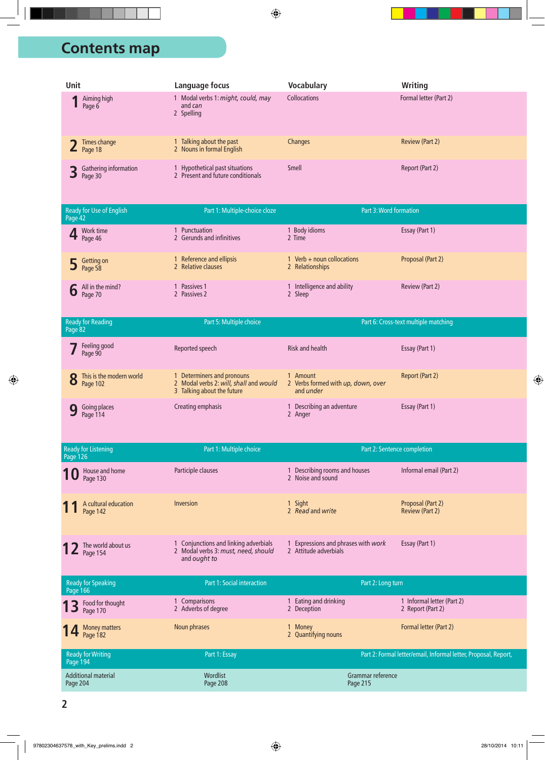## **nd Contents map**

| Unit                                     | Language focus                                                    | <b>Vocabulary</b>   | Writing                |
|------------------------------------------|-------------------------------------------------------------------|---------------------|------------------------|
| Aiming high<br>Page 6                    | Modal verbs 1: might, could, may<br>and can<br>2 Spelling         | <b>Collocations</b> | Formal letter (Part 2) |
| Times change<br>$\blacktriangle$ Page 18 | Talking about the past<br>2 Nouns in formal English               | <b>Changes</b>      | Review (Part 2)        |
| Gathering information<br>Page 30         | Hypothetical past situations<br>2 Present and future conditionals | <b>Smell</b>        | Report (Part 2)        |

| Ready for Use of English<br>Page 42 | Part 1: Multiple-choice cloze                |                                               | Part 3: Word formation |
|-------------------------------------|----------------------------------------------|-----------------------------------------------|------------------------|
| 4 Work time                         | Punctuation<br>2 Gerunds and infinitives     | <b>Body idioms</b><br>2 Time                  | Essay (Part 1)         |
| 5 Getting on                        | Reference and ellipsis<br>2 Relative clauses | $Verb + noun collocations$<br>2 Relationships | Proposal (Part 2)      |
| $\boldsymbol{6}$ All in the mind?   | Passives 1<br>2 Passives 2                   | Intelligence and ability<br>2 Sleep           | Review (Part 2)        |

| Ready for Reading<br>Page 82 | Part 5: Multiple choice                                                                          |                                                                  | Part 6: Cross-text multiple matching |
|------------------------------|--------------------------------------------------------------------------------------------------|------------------------------------------------------------------|--------------------------------------|
| <b>7</b> Feeling good        | Reported speech                                                                                  | Risk and health                                                  | Essay (Part 1)                       |
| 8 This is the modern world   | Determiners and pronouns<br>2 Modal verbs 2: will, shall and would<br>3 Talking about the future | Amount<br>2 Verbs formed with up, down, over<br>and <i>under</i> | Report (Part 2)                      |
| <b>9</b> Going places        | Creating emphasis                                                                                | 1 Describing an adventure<br>$\angle$ Anger                      | Essay (Part 1)                       |

| Ready for Listening<br>Page 126 | Part 1: Multiple choice                                                                      |                                                              | Part 2: Sentence completion          |
|---------------------------------|----------------------------------------------------------------------------------------------|--------------------------------------------------------------|--------------------------------------|
| 10 House and home               | Participle clauses                                                                           | 1 Describing rooms and houses<br>2 Noise and sound           | Informal email (Part 2)              |
| 11 A cultural education         | Inversion                                                                                    | 1 Sight<br>2 Read and write                                  | Proposal (Part 2)<br>Review (Part 2) |
| 12 The world about us           | 1 Conjunctions and linking adverbials<br>2 Modal verbs 3: must, need, should<br>and ought to | 1 Expressions and phrases with work<br>2 Attitude adverbials | Essay (Part 1)                       |

| Ready for Speaking<br>Page 166  | Part 1: Social interaction       | Part 2: Long turn                  |                                                                 |
|---------------------------------|----------------------------------|------------------------------------|-----------------------------------------------------------------|
| 13 Food for thought             | Comparisons<br>Adverbs of degree | Eating and drinking<br>2 Deception | 1 Informal letter (Part 2)<br>2 Report (Part 2)                 |
| 14 Money matters                | Noun phrases                     | Money<br>2 Quantifying nouns       | Formal letter (Part 2)                                          |
| Ready for Writing<br>Page 194   | Part 1: Essay                    |                                    | Part 2: Formal letter/email, Informal letter, Proposal, Report, |
| Additional material<br>Page 204 | Wordlist<br>Page 208             | Grammar reference<br>Page 215      |                                                                 |